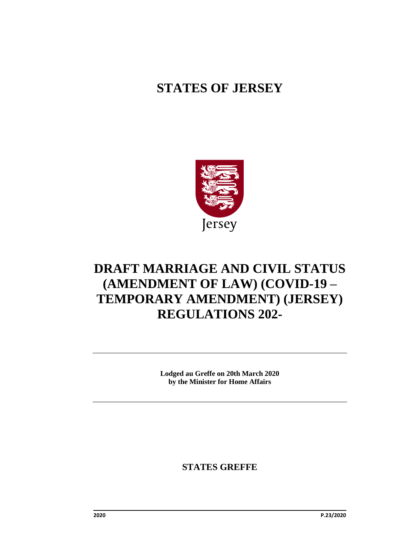## **STATES OF JERSEY**



# **DRAFT MARRIAGE AND CIVIL STATUS (AMENDMENT OF LAW) (COVID-19 – TEMPORARY AMENDMENT) (JERSEY) REGULATIONS 202-**

**Lodged au Greffe on 20th March 2020 by the Minister for Home Affairs**

**STATES GREFFE**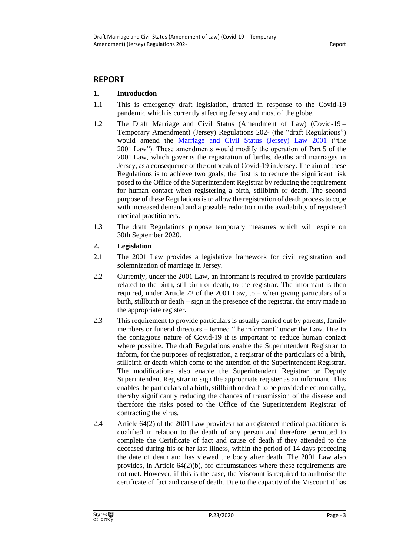### **REPORT**

### **1. Introduction**

- 1.1 This is emergency draft legislation, drafted in response to the Covid-19 pandemic which is currently affecting Jersey and most of the globe.
- 1.2 The Draft Marriage and Civil Status (Amendment of Law) (Covid-19 Temporary Amendment) (Jersey) Regulations 202- (the "draft Regulations") would amend the [Marriage and Civil Status \(Jersey\) Law](https://www.jerseylaw.je/laws/revised/Pages/12.600.aspx) 2001 ("the 2001 Law"). These amendments would modify the operation of Part 5 of the 2001 Law, which governs the registration of births, deaths and marriages in Jersey, as a consequence of the outbreak of Covid-19 in Jersey. The aim of these Regulations is to achieve two goals, the first is to reduce the significant risk posed to the Office of the Superintendent Registrar by reducing the requirement for human contact when registering a birth, stillbirth or death. The second purpose of these Regulations is to allow the registration of death process to cope with increased demand and a possible reduction in the availability of registered medical practitioners.
- 1.3 The draft Regulations propose temporary measures which will expire on 30th September 2020.

### **2. Legislation**

- 2.1 The 2001 Law provides a legislative framework for civil registration and solemnization of marriage in Jersey.
- 2.2 Currently, under the 2001 Law, an informant is required to provide particulars related to the birth, stillbirth or death, to the registrar. The informant is then required, under Article 72 of the 2001 Law, to – when giving particulars of a birth, stillbirth or death – sign in the presence of the registrar, the entry made in the appropriate register.
- 2.3 This requirement to provide particulars is usually carried out by parents, family members or funeral directors – termed "the informant" under the Law. Due to the contagious nature of Covid-19 it is important to reduce human contact where possible. The draft Regulations enable the Superintendent Registrar to inform, for the purposes of registration, a registrar of the particulars of a birth, stillbirth or death which come to the attention of the Superintendent Registrar. The modifications also enable the Superintendent Registrar or Deputy Superintendent Registrar to sign the appropriate register as an informant. This enables the particulars of a birth, stillbirth or death to be provided electronically, thereby significantly reducing the chances of transmission of the disease and therefore the risks posed to the Office of the Superintendent Registrar of contracting the virus.
- 2.4 Article 64(2) of the 2001 Law provides that a registered medical practitioner is qualified in relation to the death of any person and therefore permitted to complete the Certificate of fact and cause of death if they attended to the deceased during his or her last illness, within the period of 14 days preceding the date of death and has viewed the body after death. The 2001 Law also provides, in Article 64(2)(b), for circumstances where these requirements are not met. However, if this is the case, the Viscount is required to authorise the certificate of fact and cause of death. Due to the capacity of the Viscount it has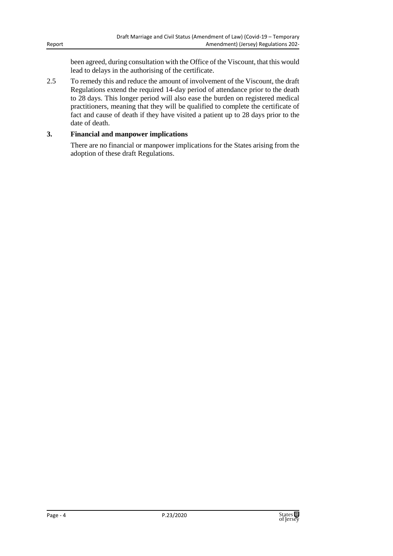been agreed, during consultation with the Office of the Viscount, that this would lead to delays in the authorising of the certificate.

2.5 To remedy this and reduce the amount of involvement of the Viscount, the draft Regulations extend the required 14-day period of attendance prior to the death to 28 days. This longer period will also ease the burden on registered medical practitioners, meaning that they will be qualified to complete the certificate of fact and cause of death if they have visited a patient up to 28 days prior to the date of death.

### **3. Financial and manpower implications**

There are no financial or manpower implications for the States arising from the adoption of these draft Regulations.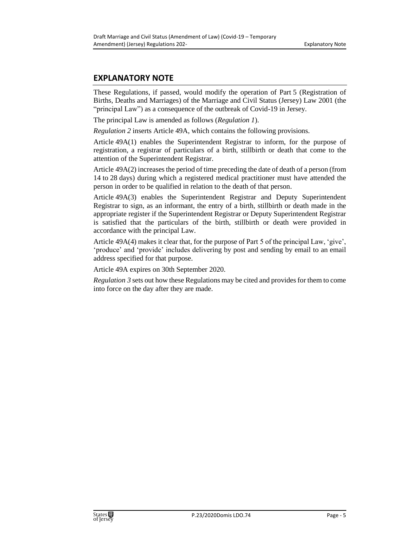### **EXPLANATORY NOTE**

These Regulations, if passed, would modify the operation of Part 5 (Registration of Births, Deaths and Marriages) of the Marriage and Civil Status (Jersey) Law 2001 (the "principal Law") as a consequence of the outbreak of Covid-19 in Jersey.

The principal Law is amended as follows (*Regulation 1*).

*Regulation 2* inserts Article 49A, which contains the following provisions.

Article 49A(1) enables the Superintendent Registrar to inform, for the purpose of registration, a registrar of particulars of a birth, stillbirth or death that come to the attention of the Superintendent Registrar.

Article 49A(2) increases the period of time preceding the date of death of a person (from 14 to 28 days) during which a registered medical practitioner must have attended the person in order to be qualified in relation to the death of that person.

Article 49A(3) enables the Superintendent Registrar and Deputy Superintendent Registrar to sign, as an informant, the entry of a birth, stillbirth or death made in the appropriate register if the Superintendent Registrar or Deputy Superintendent Registrar is satisfied that the particulars of the birth, stillbirth or death were provided in accordance with the principal Law.

Article 49A(4) makes it clear that, for the purpose of Part 5 of the principal Law, 'give', 'produce' and 'provide' includes delivering by post and sending by email to an email address specified for that purpose.

Article 49A expires on 30th September 2020.

*Regulation 3* sets out how these Regulations may be cited and provides for them to come into force on the day after they are made.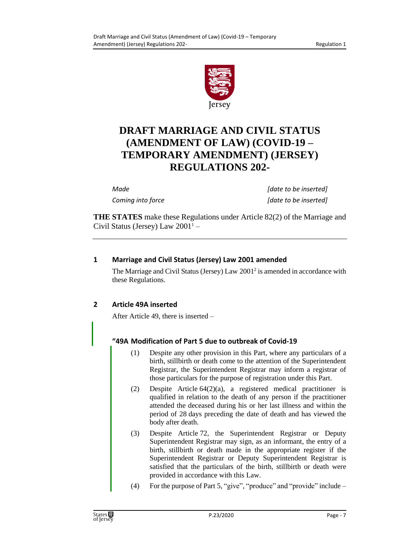

## **DRAFT MARRIAGE AND CIVIL STATUS (AMENDMENT OF LAW) (COVID-19 – TEMPORARY AMENDMENT) (JERSEY) REGULATIONS 202-**

*Made [date to be inserted] Coming into force [date to be inserted]*

**THE STATES** make these Regulations under Article 82(2) of the Marriage and Civil Status (Jersey) Law  $2001^1$  –

### **1 Marriage and Civil Status (Jersey) Law 2001 amended**

The Marriage and Civil Status (Jersey)  $Law\ 2001^2$  is amended in accordance with these Regulations.

### **2 Article 49A inserted**

After Article 49, there is inserted –

### **"49A Modification of Part 5 due to outbreak of Covid-19**

- (1) Despite any other provision in this Part, where any particulars of a birth, stillbirth or death come to the attention of the Superintendent Registrar, the Superintendent Registrar may inform a registrar of those particulars for the purpose of registration under this Part.
- (2) Despite Article 64(2)(a), a registered medical practitioner is qualified in relation to the death of any person if the practitioner attended the deceased during his or her last illness and within the period of 28 days preceding the date of death and has viewed the body after death.
- (3) Despite Article 72, the Superintendent Registrar or Deputy Superintendent Registrar may sign, as an informant, the entry of a birth, stillbirth or death made in the appropriate register if the Superintendent Registrar or Deputy Superintendent Registrar is satisfied that the particulars of the birth, stillbirth or death were provided in accordance with this Law.
- (4) For the purpose of Part 5, "give", "produce" and "provide" include –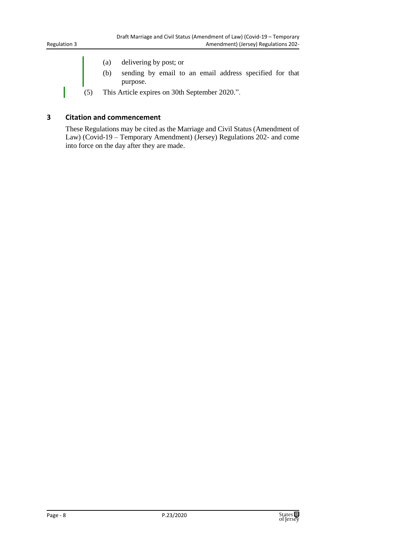- (a) delivering by post; or
- (b) sending by email to an email address specified for that purpose.
- (5) This Article expires on 30th September 2020.".

#### **3 Citation and commencement**

These Regulations may be cited as the Marriage and Civil Status (Amendment of Law) (Covid-19 – Temporary Amendment) (Jersey) Regulations 202- and come into force on the day after they are made.